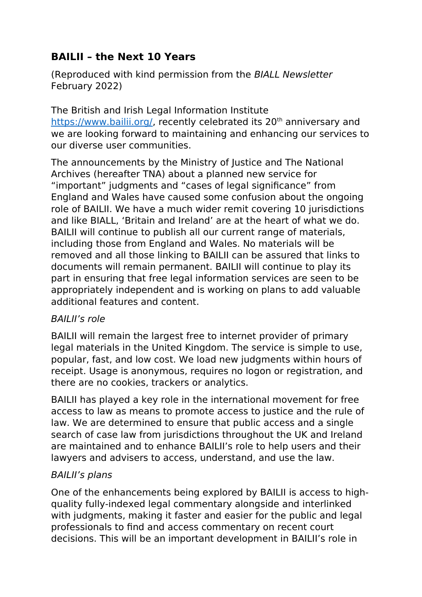## **BAILII – the Next 10 Years**

(Reproduced with kind permission from the BIALL Newsletter February 2022)

The British and Irish Legal Information Institute <https://www.bailii.org/>, recently celebrated its 20<sup>th</sup> anniversary and we are looking forward to maintaining and enhancing our services to our diverse user communities.

The announcements by the Ministry of Justice and The National Archives (hereafter TNA) about a planned new service for "important" judgments and "cases of legal significance" from England and Wales have caused some confusion about the ongoing role of BAILII. We have a much wider remit covering 10 jurisdictions and like BIALL, 'Britain and Ireland' are at the heart of what we do. BAILII will continue to publish all our current range of materials, including those from England and Wales. No materials will be removed and all those linking to BAILII can be assured that links to documents will remain permanent. BAILII will continue to play its part in ensuring that free legal information services are seen to be appropriately independent and is working on plans to add valuable additional features and content.

## BAILII's role

BAILII will remain the largest free to internet provider of primary legal materials in the United Kingdom. The service is simple to use, popular, fast, and low cost. We load new judgments within hours of receipt. Usage is anonymous, requires no logon or registration, and there are no cookies, trackers or analytics.

BAILII has played a key role in the international movement for free access to law as means to promote access to justice and the rule of law. We are determined to ensure that public access and a single search of case law from jurisdictions throughout the UK and Ireland are maintained and to enhance BAILII's role to help users and their lawyers and advisers to access, understand, and use the law.

## BAILII's plans

One of the enhancements being explored by BAILII is access to highquality fully-indexed legal commentary alongside and interlinked with judgments, making it faster and easier for the public and legal professionals to find and access commentary on recent court decisions. This will be an important development in BAILII's role in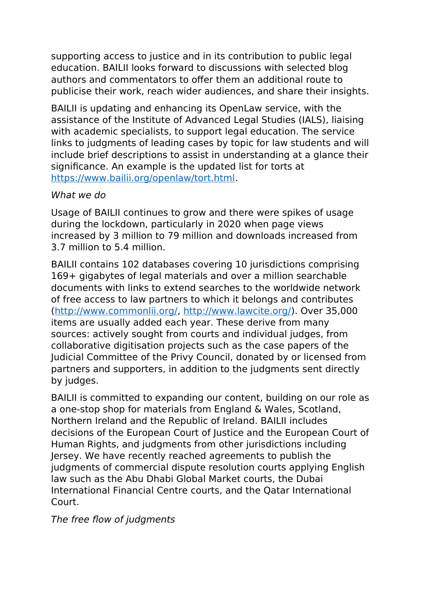supporting access to justice and in its contribution to public legal education. BAILII looks forward to discussions with selected blog authors and commentators to offer them an additional route to publicise their work, reach wider audiences, and share their insights.

BAILII is updating and enhancing its OpenLaw service, with the assistance of the Institute of Advanced Legal Studies (IALS), liaising with academic specialists, to support legal education. The service links to judgments of leading cases by topic for law students and will include brief descriptions to assist in understanding at a glance their significance. An example is the updated list for torts at [https://www.bailii.org/openlaw/tort.html.](https://www.bailii.org/openlaw/tort.html)

## What we do

Usage of BAILII continues to grow and there were spikes of usage during the lockdown, particularly in 2020 when page views increased by 3 million to 79 million and downloads increased from 3.7 million to 5.4 million.

BAILII contains 102 databases covering 10 jurisdictions comprising 169+ gigabytes of legal materials and over a million searchable documents with links to extend searches to the worldwide network of free access to law partners to which it belongs and contributes [\(http://www.commonlii.org/,](http://www.commonlii.org/) [http://www.lawcite.org/\)](http://www.lawcite.org/). Over 35,000 items are usually added each year. These derive from many sources: actively sought from courts and individual judges, from collaborative digitisation projects such as the case papers of the Judicial Committee of the Privy Council, donated by or licensed from partners and supporters, in addition to the judgments sent directly by judges.

BAILII is committed to expanding our content, building on our role as a one-stop shop for materials from England & Wales, Scotland, Northern Ireland and the Republic of Ireland. BAILII includes decisions of the European Court of Justice and the European Court of Human Rights, and judgments from other jurisdictions including Jersey. We have recently reached agreements to publish the judgments of commercial dispute resolution courts applying English law such as the Abu Dhabi Global Market courts, the Dubai International Financial Centre courts, and the Qatar International Court.

The free flow of judgments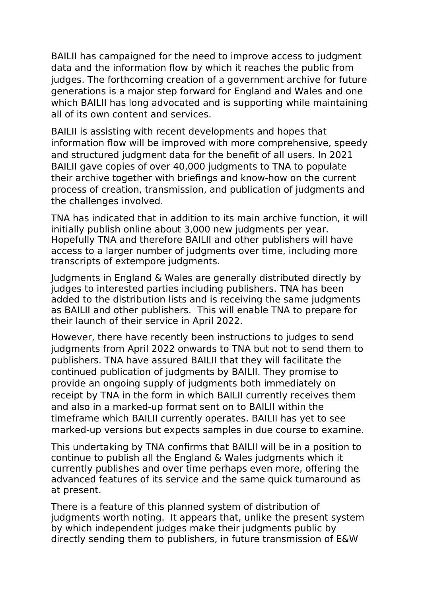BAILII has campaigned for the need to improve access to judgment data and the information flow by which it reaches the public from judges. The forthcoming creation of a government archive for future generations is a major step forward for England and Wales and one which BAILII has long advocated and is supporting while maintaining all of its own content and services.

BAILII is assisting with recent developments and hopes that information flow will be improved with more comprehensive, speedy and structured judgment data for the benefit of all users. In 2021 BAILII gave copies of over 40,000 judgments to TNA to populate their archive together with briefings and know-how on the current process of creation, transmission, and publication of judgments and the challenges involved.

TNA has indicated that in addition to its main archive function, it will initially publish online about 3,000 new judgments per year. Hopefully TNA and therefore BAILII and other publishers will have access to a larger number of judgments over time, including more transcripts of extempore judgments.

Judgments in England & Wales are generally distributed directly by judges to interested parties including publishers. TNA has been added to the distribution lists and is receiving the same judgments as BAILII and other publishers. This will enable TNA to prepare for their launch of their service in April 2022.

However, there have recently been instructions to judges to send judgments from April 2022 onwards to TNA but not to send them to publishers. TNA have assured BAILII that they will facilitate the continued publication of judgments by BAILII. They promise to provide an ongoing supply of judgments both immediately on receipt by TNA in the form in which BAILII currently receives them and also in a marked-up format sent on to BAILII within the timeframe which BAILII currently operates. BAILII has yet to see marked-up versions but expects samples in due course to examine.

This undertaking by TNA confirms that BAILIl will be in a position to continue to publish all the England & Wales judgments which it currently publishes and over time perhaps even more, offering the advanced features of its service and the same quick turnaround as at present.

There is a feature of this planned system of distribution of judgments worth noting. It appears that, unlike the present system by which independent judges make their judgments public by directly sending them to publishers, in future transmission of E&W